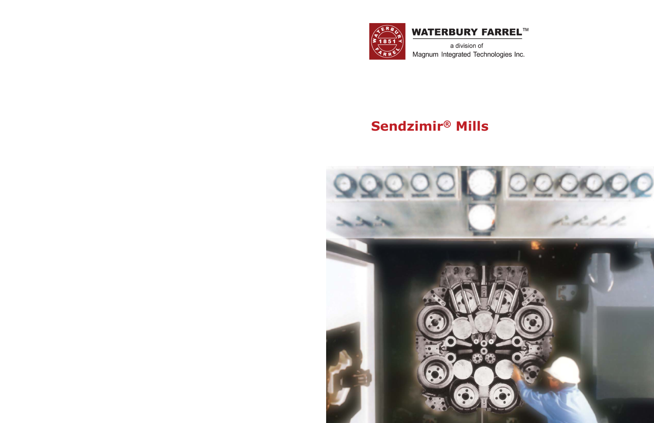

# **WATERBURY FARREL™**

a division of Magnum Integrated Technologies Inc.

# **Sendzimir ® Mills**

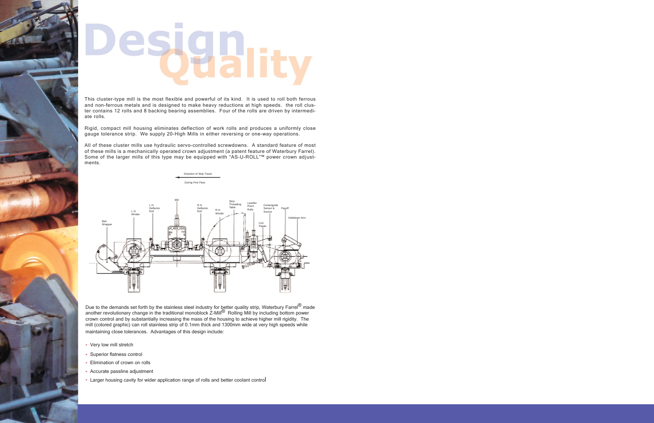This cluster-type mill is the most flexible and powerful of its kind. It is used to roll both ferrous and non-ferrous metals and is designed to make heavy reductions at high speeds. the roll cluster contains 12 rolls and 8 backing bearing assemblies. Four of the rolls are driven by intermediate rolls.

Rigid, compact mill housing eliminates deflection of work rolls and produces a uniformly close gauge tolerance strip. We supply 20-High Mills in either reversing or one-way operations.

All of these cluster mills use hydraulic servo-controlled screwdowns. A standard feature of most of these mills is a mechanically operated crown adjustment (a patent feature of Waterbury Farrel). Some of the larger mills of this type may be equipped with "AS-U-ROLL"<sup>™</sup> power crown adjustments.



Due to the demands set forth by the stainless steel industry for better quality strip, Waterbury Farrel<sup>®</sup> made another revolutionary change in the traditional monoblock Z-Mill® Rolling Mill by including bottom power crown control and by substantially increasing the mass of the housing to achieve higher mill rigidity. The mill (colored graphic) can roll stainless strip of 0.1mm thick and 1300mm wide at very high speeds while maintaining close tolerances. Advantages of this design include:

- \* Very low mill stretch
- \* Superior flatness control
- \* Elimination of crown on rolls
- \* Accurate passline adjustment
- \* Larger housing cavity for wider application range of rolls and better coolant control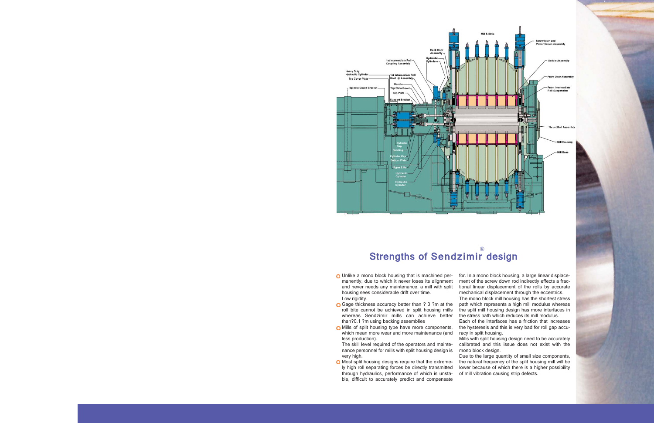

### Strengths of Sendzimir design ®

- Unlike a mono block housing that is machined permanently, due to which it never loses its alignment and never needs any maintenance, a mill with split housing sees considerable drift over time. Low rigidity.
- Gage thickness accuracy better than ? 3 ?m at the roll bite cannot be achieved in split housing mills whereas Sendzimir mills can achieve better than?0.1 ?m using backing assemblies
- **Mills of split housing type have more components,** which mean more wear and more maintenance (and less production).

The skill level required of the operators and maintenance personnel for mills with split housing design is very high.

Most split housing designs require that the extremely high roll separating forces be directly transmitted through hydraulics, performance of which is unstable, difficult to accurately predict and compensate

for. In a mono block housing, a large linear displacement of the screw down rod indirectly effects a fractional linear displacement of the rolls by accurate mechanical displacement through the eccentrics.

The mono block mill housing has the shortest stress path which represents a high mill modulus whereas the split mill housing design has more interfaces in the stress path which reduces its mill modulus.

Each of the interfaces has a friction that increases the hysteresis and this is very bad for roll gap accuracy in split housing.

Mills with split housing design need to be accurately calibrated and this issue does not exist with the mono block design.

Due to the large quantity of small size components, the natural frequency of the split housing mill will be lower because of which there is a higher possibility of mill vibration causing strip defects.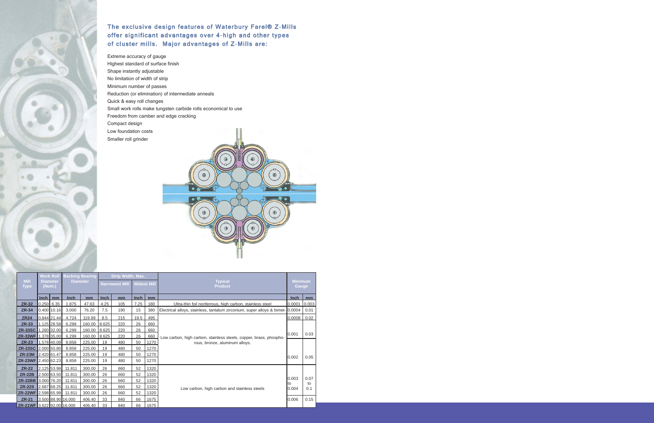### The exclusive design features of Waterbury Farel® Z-Mills offer significant advantages over 4-high and other types of cluster mills. Major advantages of Z-Mills are:

Extreme accuracy of gauge Highest standard of surface finish Shape instantly adjustable No limitation of width of strip Minimum number of passes Reduction (or elimination) of intermediate anneals Quick & easy roll changes Small work rolls make tungsten carbide rolls economical to use Freedom from camber and edge cracking Compact design Low foundation costs Smaller roll grinder



|                            | <b>Work Roll</b><br><b>Diameter</b><br>(Nom.) |             | <b>Backing Bearing</b><br><b>Diameter</b> |        | <b>Strip Width, Max.</b> |     |                    |      |                                                                                                      |              |                         |
|----------------------------|-----------------------------------------------|-------------|-------------------------------------------|--------|--------------------------|-----|--------------------|------|------------------------------------------------------------------------------------------------------|--------------|-------------------------|
| <b>Mill</b><br><b>Type</b> |                                               |             |                                           |        | <b>Narrowest Mill</b>    |     | <b>Widest Mill</b> |      | <b>Typical</b><br><b>Product</b>                                                                     |              | <b>Minimum</b><br>Gauge |
|                            | lnch                                          | mm          | <b>Inch</b>                               | mm     | <b>Inch</b>              | mm  | Inch               | mm   |                                                                                                      | Inch         | mm                      |
| <b>ZR-32</b>               | $0.250$ 6.35                                  |             | 1.875                                     | 47.63  | 4.25                     | 105 | 7.25               | 180  | Ultra-thin foil nonferrous, high carbon, stainless steel                                             | 0.0001       | 0.003                   |
| <b>ZR-34</b>               |                                               | 0.400 10.16 | 3.000                                     | 76.20  | 7.5                      | 190 | 15                 | 380  | Electrical alloys, stainless, tantalum zirconium, super alloys & bimet-10.0004                       |              | 0.01                    |
| <b>ZR24</b>                |                                               | 0.844 21.44 | 4.724                                     | 119.99 | 8.5                      | 215 | 19.5               | 495  | Low carbon, high carbon, stainless steels, copper, brass, phospho-<br>rous, bronze, aluminum alloys. | 0.0008       | 0.02                    |
| <b>ZR-33</b>               |                                               | 1.125 28.58 | 6.299                                     | 160.00 | 8.625                    | 220 | 26                 | 660  |                                                                                                      |              |                         |
| ZR-33SC                    | 1.260 32.00                                   |             | 6.299                                     | 160.00 | 8.625                    | 220 | 26                 | 660  |                                                                                                      |              |                         |
| <b>ZR-33WF 1.378 35.00</b> |                                               |             | 6.299                                     | 160.00 | 8.625                    | 220 | 26                 | 660  |                                                                                                      | 0.001        | 0.03                    |
| <b>ZR-23</b>               |                                               | 1.578 40.08 | 8.858                                     | 225.00 | 19                       | 480 | 50                 | 1270 |                                                                                                      |              |                         |
| ZR-23SC 2.000 50.80        |                                               |             | 8.858                                     | 225.00 | 19                       | 480 | 50                 | 1270 |                                                                                                      |              |                         |
| ZR-23M 2.420 61.47         |                                               |             | 8.858                                     | 225.00 | 19                       | 480 | 50                 | 1270 |                                                                                                      | 0.002        | 0.05                    |
| <b>ZR-23WF</b> 2.450 62.23 |                                               |             | 8.858                                     | 225.00 | 19                       | 480 | 50                 | 1270 |                                                                                                      |              |                         |
| <b>ZR-22</b>               | 2.125 53.98                                   |             | 11.811                                    | 300.00 | 26                       | 660 | 52                 | 1320 | Low carbon, high carbon and stainless steels                                                         |              |                         |
| $ZR-22B$                   | 2.500 63.50                                   |             | 11.811                                    | 300.00 | 26                       | 660 | 52                 | 1320 |                                                                                                      |              |                         |
| ZR-22BB 3.000 76.20        |                                               |             | 11.811                                    | 300.00 | 26                       | 660 | 52                 | 1320 |                                                                                                      | 0.003        | 0.07                    |
| <b>ZR-22S</b> 2.687 68.25  |                                               |             | 11.811                                    | 300.00 | 26                       | 660 | 52                 | 1320 |                                                                                                      | lto<br>0.004 | to<br>0.1               |
| ZR-22WF 2.598 65.99        |                                               |             | 11.811                                    | 300.00 | 26                       | 660 | 52                 | 1320 |                                                                                                      |              |                         |
| <b>ZR-21</b>               |                                               |             | 3.500 88.90 16.000                        | 406.40 | 33                       | 840 | 66                 | 1675 |                                                                                                      | 0.006        | 0.15                    |
| ZR-21WF 3.622 92.00 16.000 |                                               |             |                                           | 406.40 | 33                       | 840 | 66                 | 1675 |                                                                                                      |              |                         |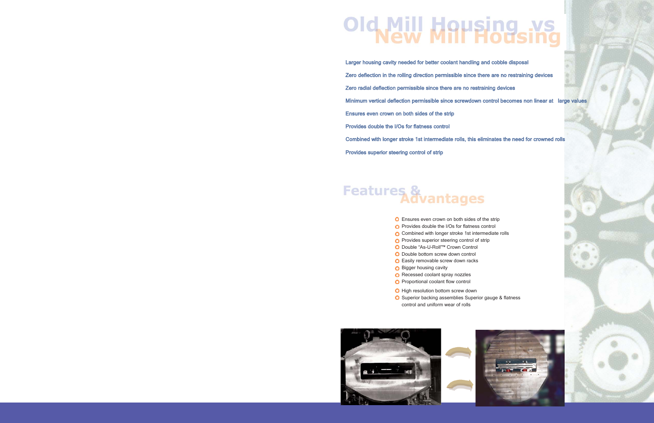# Old Mill Housing Ws

Larger housing cavity needed for better coolant handling and cobble disposal Zero deflection in the rolling direction permissible since there are no restraining devices Zero radial deflection permissible since there are no restraining devices Minimum vertical deflection permissible since screwdown control becomes non linear at large values Ensures even crown on both sides of the strip Provides double the I/Os for flatness control Combined with longer stroke 1st intermediate rolls, this eliminates the need for crowned rolls Provides superior steering control of strip

# Features & antages

- **O** Ensures even crown on both sides of the strip
- **O** Provides double the I/Os for flatness control
- **C** Combined with longer stroke 1st intermediate rolls
- **O** Provides superior steering control of strip
- O Double "As-U-Roll"™ Crown Control
- **O** Double bottom screw down control
- **O** Easily removable screw down racks
- **O** Bigger housing cavity
- **O** Recessed coolant spray nozzles
- **O** Proportional coolant flow control
- **O** High resolution bottom screw down
- **O** Superior backing assemblies Superior gauge & flatness control and uniform wear of rolls





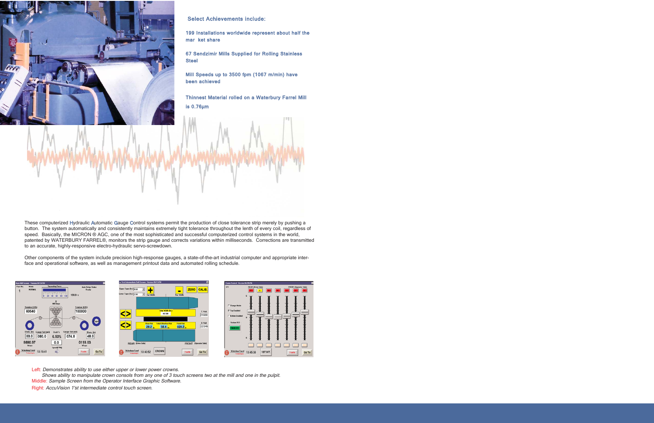

Select Achievements include:

199 Installations worldwide represent about half the mar ket share

67 Sendzimir Mills Supplied for Rolling Stainless **Steel** 

Mill Speeds up to 3500 fpm (1067 m/min) have been achieved

Thinnest Material rolled on a Waterbury Farrel Mill is 0.76µm

These computerized Hydraulic Automatic Gauge Control systems permit the production of close tolerance strip merely by pushing a button. The system automatically and consistently maintains extremely tight tolerance throughout the lenth of every coil, regardless of speed. Basically, the MICRON ® AGC, one of the most sophisticated and successful computerized control systems in the world, patented by WATERBURY FARREL®, monitors the strip gauge and corrects variations within milliseconds. Corrections are transmitted to an accurate, highly-responsive electro-hydraulic servo-screwdown.

Other components of the system include precision high-response gauges, a state-of-the-art industrial computer and appropriate interface and operational software, as well as management printout data and automated rolling schedule.



Left: Demonstrates ability to use either upper or lower power crowns.

Shows ability to manipulate crown consols from any one of 3 touch screens two at the mill and one in the pulpit. Middle: Sample Screen from the Operator Interface Graphic Software.

Right: AccuVision 1'st intermediate control touch screen.